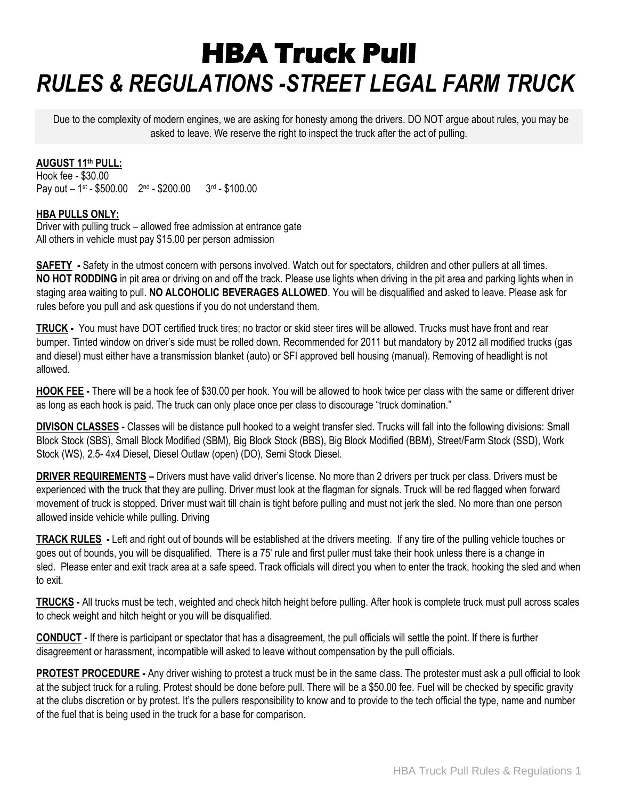# **HBA Truck Pull**  *RULES & REGULATIONS -STREET LEGAL FARM TRUCK*

Due to the complexity of modern engines, we are asking for honesty among the drivers. DO NOT argue about rules, you may be asked to leave. We reserve the right to inspect the truck after the act of pulling.

#### **AUGUST 11 th PULL:**

Hook fee - \$30.00 Pay out - 1<sup>st</sup> - \$500.00 2<sup>nd</sup> - \$200.00 3<sup>rd</sup> - \$100.00

#### **HBA PULLS ONLY:**

Driver with pulling truck – allowed free admission at entrance gate All others in vehicle must pay \$15.00 per person admission

**SAFETY -** Safety in the utmost concern with persons involved. Watch out for spectators, children and other pullers at all times. **NO HOT RODDING** in pit area or driving on and off the track. Please use lights when driving in the pit area and parking lights when in staging area waiting to pull. **NO ALCOHOLIC BEVERAGES ALLOWED**. You will be disqualified and asked to leave. Please ask for rules before you pull and ask questions if you do not understand them.

**TRUCK -** You must have DOT certified truck tires; no tractor or skid steer tires will be allowed. Trucks must have front and rear bumper. Tinted window on driver's side must be rolled down. Recommended for 2011 but mandatory by 2012 all modified trucks (gas and diesel) must either have a transmission blanket (auto) or SFI approved bell housing (manual). Removing of headlight is not allowed.

**HOOK FEE -** There will be a hook fee of \$30.00 per hook. You will be allowed to hook twice per class with the same or different driver as long as each hook is paid. The truck can only place once per class to discourage "truck domination."

**DIVISON CLASSES -** Classes will be distance pull hooked to a weight transfer sled. Trucks will fall into the following divisions: Small Block Stock (SBS), Small Block Modified (SBM), Big Block Stock (BBS), Big Block Modified (BBM), Street/Farm Stock (SSD), Work Stock (WS), 2.5- 4x4 Diesel, Diesel Outlaw (open) (DO), Semi Stock Diesel.

**DRIVER REQUIREMENTS –** Drivers must have valid driver's license. No more than 2 drivers per truck per class. Drivers must be experienced with the truck that they are pulling. Driver must look at the flagman for signals. Truck will be red flagged when forward movement of truck is stopped. Driver must wait till chain is tight before pulling and must not jerk the sled. No more than one person allowed inside vehicle while pulling. Driving

**TRACK RULES -** Left and right out of bounds will be established at the drivers meeting. If any tire of the pulling vehicle touches or goes out of bounds, you will be disqualified. There is a 75' rule and first puller must take their hook unless there is a change in sled. Please enter and exit track area at a safe speed. Track officials will direct you when to enter the track, hooking the sled and when to exit.

**TRUCKS -** All trucks must be tech, weighted and check hitch height before pulling. After hook is complete truck must pull across scales to check weight and hitch height or you will be disqualified.

**CONDUCT -** If there is participant or spectator that has a disagreement, the pull officials will settle the point. If there is further disagreement or harassment, incompatible will asked to leave without compensation by the pull officials.

**PROTEST PROCEDURE -** Any driver wishing to protest a truck must be in the same class. The protester must ask a pull official to look at the subject truck for a ruling. Protest should be done before pull. There will be a \$50.00 fee. Fuel will be checked by specific gravity at the clubs discretion or by protest. It's the pullers responsibility to know and to provide to the tech official the type, name and number of the fuel that is being used in the truck for a base for comparison.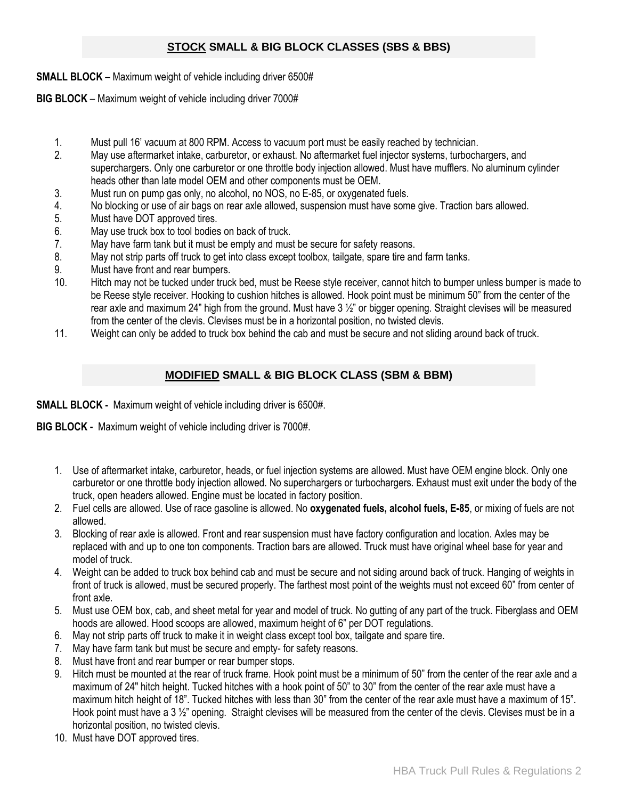# **STOCK SMALL & BIG BLOCK CLASSES (SBS & BBS)**

**SMALL BLOCK** – Maximum weight of vehicle including driver 6500#

**BIG BLOCK** – Maximum weight of vehicle including driver 7000#

- 1. Must pull 16' vacuum at 800 RPM. Access to vacuum port must be easily reached by technician.
- 2. May use aftermarket intake, carburetor, or exhaust. No aftermarket fuel injector systems, turbochargers, and superchargers. Only one carburetor or one throttle body injection allowed. Must have mufflers. No aluminum cylinder heads other than late model OEM and other components must be OEM.
- 3. Must run on pump gas only, no alcohol, no NOS, no E-85, or oxygenated fuels.
- 4. No blocking or use of air bags on rear axle allowed, suspension must have some give. Traction bars allowed.
- 5. Must have DOT approved tires.
- 6. May use truck box to tool bodies on back of truck.
- 7. May have farm tank but it must be empty and must be secure for safety reasons.
- 8. May not strip parts off truck to get into class except toolbox, tailgate, spare tire and farm tanks.
- 9. Must have front and rear bumpers.
- 10. Hitch may not be tucked under truck bed, must be Reese style receiver, cannot hitch to bumper unless bumper is made to be Reese style receiver. Hooking to cushion hitches is allowed. Hook point must be minimum 50" from the center of the rear axle and maximum 24" high from the ground. Must have  $3\frac{1}{2}$ " or bigger opening. Straight clevises will be measured from the center of the clevis. Clevises must be in a horizontal position, no twisted clevis.
- 11. Weight can only be added to truck box behind the cab and must be secure and not sliding around back of truck.

# **MODIFIED SMALL & BIG BLOCK CLASS (SBM & BBM)**

**SMALL BLOCK -** Maximum weight of vehicle including driver is 6500#.

**BIG BLOCK -** Maximum weight of vehicle including driver is 7000#.

- 1. Use of aftermarket intake, carburetor, heads, or fuel injection systems are allowed. Must have OEM engine block. Only one carburetor or one throttle body injection allowed. No superchargers or turbochargers. Exhaust must exit under the body of the truck, open headers allowed. Engine must be located in factory position.
- 2. Fuel cells are allowed. Use of race gasoline is allowed. No **oxygenated fuels, alcohol fuels, E-85**, or mixing of fuels are not allowed.
- 3. Blocking of rear axle is allowed. Front and rear suspension must have factory configuration and location. Axles may be replaced with and up to one ton components. Traction bars are allowed. Truck must have original wheel base for year and model of truck.
- 4. Weight can be added to truck box behind cab and must be secure and not siding around back of truck. Hanging of weights in front of truck is allowed, must be secured properly. The farthest most point of the weights must not exceed 60" from center of front axle.
- 5. Must use OEM box, cab, and sheet metal for year and model of truck. No gutting of any part of the truck. Fiberglass and OEM hoods are allowed. Hood scoops are allowed, maximum height of 6" per DOT regulations.
- 6. May not strip parts off truck to make it in weight class except tool box, tailgate and spare tire.
- 7. May have farm tank but must be secure and empty- for safety reasons.
- 8. Must have front and rear bumper or rear bumper stops.
- 9. Hitch must be mounted at the rear of truck frame. Hook point must be a minimum of 50" from the center of the rear axle and a maximum of 24" hitch height. Tucked hitches with a hook point of 50" to 30" from the center of the rear axle must have a maximum hitch height of 18". Tucked hitches with less than 30" from the center of the rear axle must have a maximum of 15". Hook point must have a 3 1/<sub>2</sub>" opening. Straight clevises will be measured from the center of the clevis. Clevises must be in a horizontal position, no twisted clevis.
- 10. Must have DOT approved tires.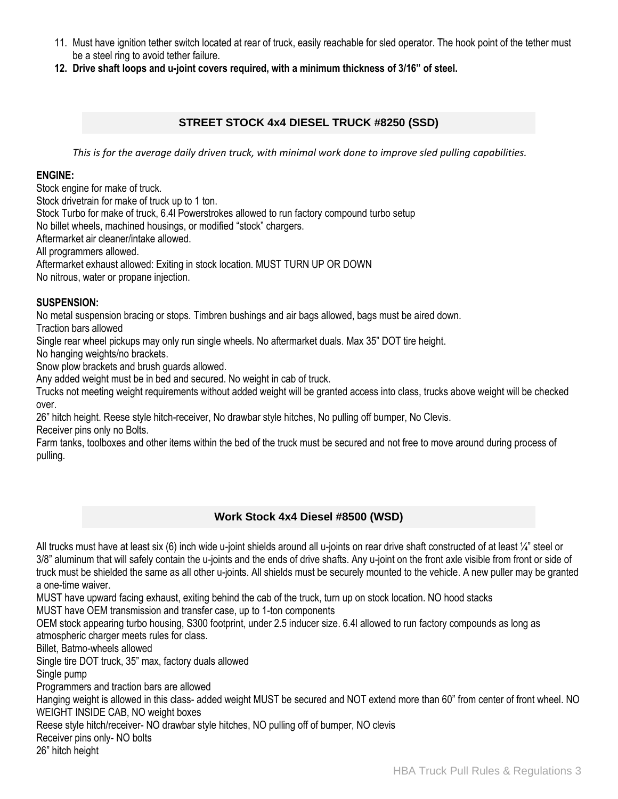- 11. Must have ignition tether switch located at rear of truck, easily reachable for sled operator. The hook point of the tether must be a steel ring to avoid tether failure.
- **12. Drive shaft loops and u-joint covers required, with a minimum thickness of 3/16" of steel.**

## **STREET STOCK 4x4 DIESEL TRUCK #8250 (SSD)**

*This is for the average daily driven truck, with minimal work done to improve sled pulling capabilities.*

## **ENGINE:**

Stock engine for make of truck.

Stock drivetrain for make of truck up to 1 ton.

Stock Turbo for make of truck, 6.4l Powerstrokes allowed to run factory compound turbo setup

No billet wheels, machined housings, or modified "stock" chargers.

Aftermarket air cleaner/intake allowed.

All programmers allowed.

Aftermarket exhaust allowed: Exiting in stock location. MUST TURN UP OR DOWN

No nitrous, water or propane injection.

## **SUSPENSION:**

No metal suspension bracing or stops. Timbren bushings and air bags allowed, bags must be aired down.

Traction bars allowed

Single rear wheel pickups may only run single wheels. No aftermarket duals. Max 35" DOT tire height.

No hanging weights/no brackets.

Snow plow brackets and brush guards allowed.

Any added weight must be in bed and secured. No weight in cab of truck.

Trucks not meeting weight requirements without added weight will be granted access into class, trucks above weight will be checked over.

26" hitch height. Reese style hitch-receiver, No drawbar style hitches, No pulling off bumper, No Clevis. Receiver pins only no Bolts.

Farm tanks, toolboxes and other items within the bed of the truck must be secured and not free to move around during process of pulling.

## **Work Stock 4x4 Diesel #8500 (WSD)**

All trucks must have at least six (6) inch wide u-joint shields around all u-joints on rear drive shaft constructed of at least 1/4" steel or 3/8" aluminum that will safely contain the u-joints and the ends of drive shafts. Any u-joint on the front axle visible from front or side of truck must be shielded the same as all other u-joints. All shields must be securely mounted to the vehicle. A new puller may be granted a one-time waiver.

MUST have upward facing exhaust, exiting behind the cab of the truck, turn up on stock location. NO hood stacks

MUST have OEM transmission and transfer case, up to 1-ton components

OEM stock appearing turbo housing, S300 footprint, under 2.5 inducer size. 6.4l allowed to run factory compounds as long as atmospheric charger meets rules for class.

Billet, Batmo-wheels allowed

Single tire DOT truck, 35" max, factory duals allowed

Single pump

Programmers and traction bars are allowed

Hanging weight is allowed in this class- added weight MUST be secured and NOT extend more than 60" from center of front wheel. NO WEIGHT INSIDE CAB, NO weight boxes

Reese style hitch/receiver- NO drawbar style hitches, NO pulling off of bumper, NO clevis

Receiver pins only- NO bolts

26" hitch height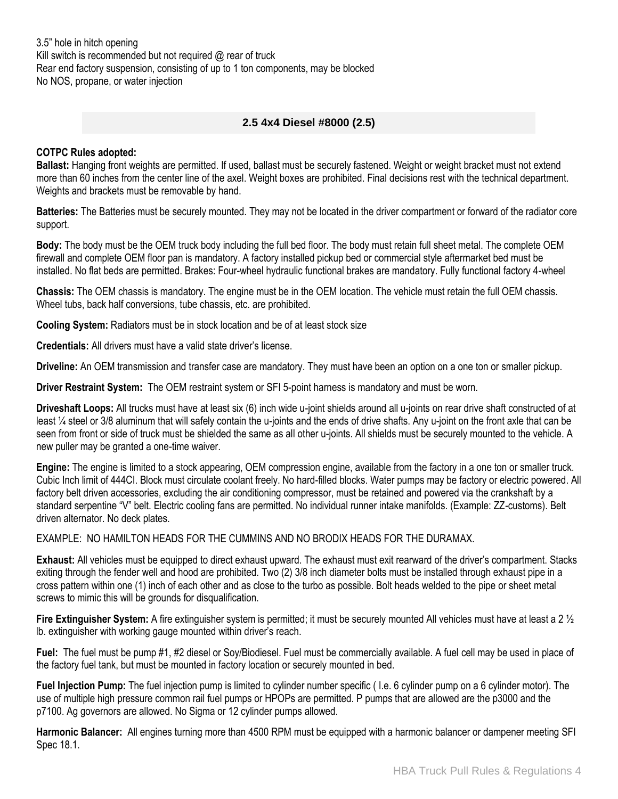3.5" hole in hitch opening Kill switch is recommended but not required @ rear of truck Rear end factory suspension, consisting of up to 1 ton components, may be blocked No NOS, propane, or water injection

## **2.5 4x4 Diesel #8000 (2.5)**

#### **COTPC Rules adopted:**

**Ballast:** Hanging front weights are permitted. If used, ballast must be securely fastened. Weight or weight bracket must not extend more than 60 inches from the center line of the axel. Weight boxes are prohibited. Final decisions rest with the technical department. Weights and brackets must be removable by hand.

**Batteries:** The Batteries must be securely mounted. They may not be located in the driver compartment or forward of the radiator core support.

**Body:** The body must be the OEM truck body including the full bed floor. The body must retain full sheet metal. The complete OEM firewall and complete OEM floor pan is mandatory. A factory installed pickup bed or commercial style aftermarket bed must be installed. No flat beds are permitted. Brakes: Four-wheel hydraulic functional brakes are mandatory. Fully functional factory 4-wheel

**Chassis:** The OEM chassis is mandatory. The engine must be in the OEM location. The vehicle must retain the full OEM chassis. Wheel tubs, back half conversions, tube chassis, etc. are prohibited.

**Cooling System:** Radiators must be in stock location and be of at least stock size

**Credentials:** All drivers must have a valid state driver's license.

**Driveline:** An OEM transmission and transfer case are mandatory. They must have been an option on a one ton or smaller pickup.

**Driver Restraint System:** The OEM restraint system or SFI 5-point harness is mandatory and must be worn.

**Driveshaft Loops:** All trucks must have at least six (6) inch wide u-joint shields around all u-joints on rear drive shaft constructed of at least ¼ steel or 3/8 aluminum that will safely contain the u-joints and the ends of drive shafts. Any u-joint on the front axle that can be seen from front or side of truck must be shielded the same as all other u-joints. All shields must be securely mounted to the vehicle. A new puller may be granted a one-time waiver.

**Engine:** The engine is limited to a stock appearing, OEM compression engine, available from the factory in a one ton or smaller truck. Cubic Inch limit of 444CI. Block must circulate coolant freely. No hard-filled blocks. Water pumps may be factory or electric powered. All factory belt driven accessories, excluding the air conditioning compressor, must be retained and powered via the crankshaft by a standard serpentine "V" belt. Electric cooling fans are permitted. No individual runner intake manifolds. (Example: ZZ-customs). Belt driven alternator. No deck plates.

EXAMPLE: NO HAMILTON HEADS FOR THE CUMMINS AND NO BRODIX HEADS FOR THE DURAMAX.

**Exhaust:** All vehicles must be equipped to direct exhaust upward. The exhaust must exit rearward of the driver's compartment. Stacks exiting through the fender well and hood are prohibited. Two (2) 3/8 inch diameter bolts must be installed through exhaust pipe in a cross pattern within one (1) inch of each other and as close to the turbo as possible. Bolt heads welded to the pipe or sheet metal screws to mimic this will be grounds for disqualification.

**Fire Extinguisher System:** A fire extinguisher system is permitted; it must be securely mounted All vehicles must have at least a 2 ½ lb. extinguisher with working gauge mounted within driver's reach.

**Fuel:** The fuel must be pump #1, #2 diesel or Soy/Biodiesel. Fuel must be commercially available. A fuel cell may be used in place of the factory fuel tank, but must be mounted in factory location or securely mounted in bed.

**Fuel Injection Pump:** The fuel injection pump is limited to cylinder number specific ( I.e. 6 cylinder pump on a 6 cylinder motor). The use of multiple high pressure common rail fuel pumps or HPOPs are permitted. P pumps that are allowed are the p3000 and the p7100. Ag governors are allowed. No Sigma or 12 cylinder pumps allowed.

**Harmonic Balancer:** All engines turning more than 4500 RPM must be equipped with a harmonic balancer or dampener meeting SFI Spec 18.1.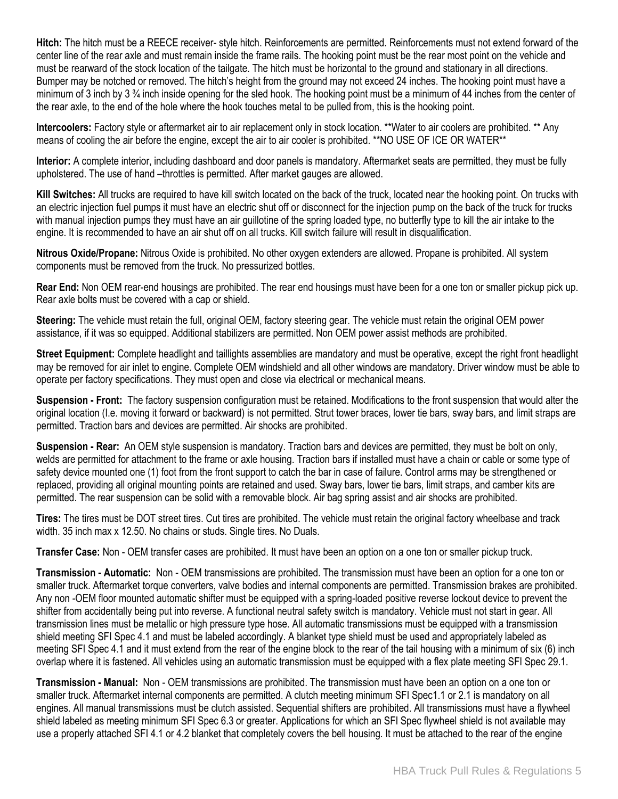**Hitch:** The hitch must be a REECE receiver- style hitch. Reinforcements are permitted. Reinforcements must not extend forward of the center line of the rear axle and must remain inside the frame rails. The hooking point must be the rear most point on the vehicle and must be rearward of the stock location of the tailgate. The hitch must be horizontal to the ground and stationary in all directions. Bumper may be notched or removed. The hitch's height from the ground may not exceed 24 inches. The hooking point must have a minimum of 3 inch by 3 <sup>3</sup>/<sub>4</sub> inch inside opening for the sled hook. The hooking point must be a minimum of 44 inches from the center of the rear axle, to the end of the hole where the hook touches metal to be pulled from, this is the hooking point.

**Intercoolers:** Factory style or aftermarket air to air replacement only in stock location. \*\*Water to air coolers are prohibited. \*\* Any means of cooling the air before the engine, except the air to air cooler is prohibited. \*\*NO USE OF ICE OR WATER\*\*

**Interior:** A complete interior, including dashboard and door panels is mandatory. Aftermarket seats are permitted, they must be fully upholstered. The use of hand –throttles is permitted. After market gauges are allowed.

**Kill Switches:** All trucks are required to have kill switch located on the back of the truck, located near the hooking point. On trucks with an electric injection fuel pumps it must have an electric shut off or disconnect for the injection pump on the back of the truck for trucks with manual injection pumps they must have an air guillotine of the spring loaded type, no butterfly type to kill the air intake to the engine. It is recommended to have an air shut off on all trucks. Kill switch failure will result in disqualification.

**Nitrous Oxide/Propane:** Nitrous Oxide is prohibited. No other oxygen extenders are allowed. Propane is prohibited. All system components must be removed from the truck. No pressurized bottles.

**Rear End:** Non OEM rear-end housings are prohibited. The rear end housings must have been for a one ton or smaller pickup pick up. Rear axle bolts must be covered with a cap or shield.

**Steering:** The vehicle must retain the full, original OEM, factory steering gear. The vehicle must retain the original OEM power assistance, if it was so equipped. Additional stabilizers are permitted. Non OEM power assist methods are prohibited.

**Street Equipment:** Complete headlight and taillights assemblies are mandatory and must be operative, except the right front headlight may be removed for air inlet to engine. Complete OEM windshield and all other windows are mandatory. Driver window must be able to operate per factory specifications. They must open and close via electrical or mechanical means.

**Suspension - Front:** The factory suspension configuration must be retained. Modifications to the front suspension that would alter the original location (I.e. moving it forward or backward) is not permitted. Strut tower braces, lower tie bars, sway bars, and limit straps are permitted. Traction bars and devices are permitted. Air shocks are prohibited.

**Suspension - Rear:** An OEM style suspension is mandatory. Traction bars and devices are permitted, they must be bolt on only, welds are permitted for attachment to the frame or axle housing. Traction bars if installed must have a chain or cable or some type of safety device mounted one (1) foot from the front support to catch the bar in case of failure. Control arms may be strengthened or replaced, providing all original mounting points are retained and used. Sway bars, lower tie bars, limit straps, and camber kits are permitted. The rear suspension can be solid with a removable block. Air bag spring assist and air shocks are prohibited.

**Tires:** The tires must be DOT street tires. Cut tires are prohibited. The vehicle must retain the original factory wheelbase and track width. 35 inch max x 12.50. No chains or studs. Single tires. No Duals.

**Transfer Case:** Non - OEM transfer cases are prohibited. It must have been an option on a one ton or smaller pickup truck.

**Transmission - Automatic:** Non - OEM transmissions are prohibited. The transmission must have been an option for a one ton or smaller truck. Aftermarket torque converters, valve bodies and internal components are permitted. Transmission brakes are prohibited. Any non -OEM floor mounted automatic shifter must be equipped with a spring-loaded positive reverse lockout device to prevent the shifter from accidentally being put into reverse. A functional neutral safety switch is mandatory. Vehicle must not start in gear. All transmission lines must be metallic or high pressure type hose. All automatic transmissions must be equipped with a transmission shield meeting SFI Spec 4.1 and must be labeled accordingly. A blanket type shield must be used and appropriately labeled as meeting SFI Spec 4.1 and it must extend from the rear of the engine block to the rear of the tail housing with a minimum of six (6) inch overlap where it is fastened. All vehicles using an automatic transmission must be equipped with a flex plate meeting SFI Spec 29.1.

**Transmission - Manual:** Non - OEM transmissions are prohibited. The transmission must have been an option on a one ton or smaller truck. Aftermarket internal components are permitted. A clutch meeting minimum SFI Spec1.1 or 2.1 is mandatory on all engines. All manual transmissions must be clutch assisted. Sequential shifters are prohibited. All transmissions must have a flywheel shield labeled as meeting minimum SFI Spec 6.3 or greater. Applications for which an SFI Spec flywheel shield is not available may use a properly attached SFI 4.1 or 4.2 blanket that completely covers the bell housing. It must be attached to the rear of the engine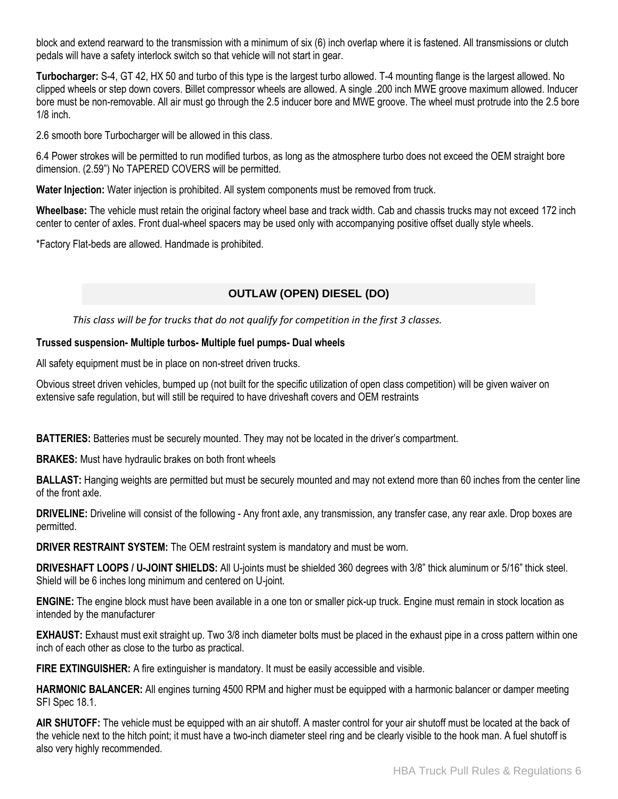block and extend rearward to the transmission with a minimum of six (6) inch overlap where it is fastened. All transmissions or clutch pedals will have a safety interlock switch so that vehicle will not start in gear.

**Turbocharger:** S-4, GT 42, HX 50 and turbo of this type is the largest turbo allowed. T-4 mounting flange is the largest allowed. No clipped wheels or step down covers. Billet compressor wheels are allowed. A single .200 inch MWE groove maximum allowed. Inducer bore must be non-removable. All air must go through the 2.5 inducer bore and MWE groove. The wheel must protrude into the 2.5 bore 1/8 inch.

2.6 smooth bore Turbocharger will be allowed in this class.

6.4 Power strokes will be permitted to run modified turbos, as long as the atmosphere turbo does not exceed the OEM straight bore dimension. (2.59") No TAPERED COVERS will be permitted.

**Water Injection:** Water injection is prohibited. All system components must be removed from truck.

**Wheelbase:** The vehicle must retain the original factory wheel base and track width. Cab and chassis trucks may not exceed 172 inch center to center of axles. Front dual-wheel spacers may be used only with accompanying positive offset dually style wheels.

\*Factory Flat-beds are allowed. Handmade is prohibited.

# **OUTLAW (OPEN) DIESEL (DO)**

*This class will be for trucks that do not qualify for competition in the first 3 classes.*

#### **Trussed suspension- Multiple turbos- Multiple fuel pumps- Dual wheels**

All safety equipment must be in place on non-street driven trucks.

Obvious street driven vehicles, bumped up (not built for the specific utilization of open class competition) will be given waiver on extensive safe regulation, but will still be required to have driveshaft covers and OEM restraints

**BATTERIES:** Batteries must be securely mounted. They may not be located in the driver's compartment.

**BRAKES:** Must have hydraulic brakes on both front wheels

**BALLAST:** Hanging weights are permitted but must be securely mounted and may not extend more than 60 inches from the center line of the front axle.

**DRIVELINE:** Driveline will consist of the following - Any front axle, any transmission, any transfer case, any rear axle. Drop boxes are permitted.

**DRIVER RESTRAINT SYSTEM:** The OEM restraint system is mandatory and must be worn.

**DRIVESHAFT LOOPS / U-JOINT SHIELDS:** All U-joints must be shielded 360 degrees with 3/8" thick aluminum or 5/16" thick steel. Shield will be 6 inches long minimum and centered on U-joint.

**ENGINE:** The engine block must have been available in a one ton or smaller pick-up truck. Engine must remain in stock location as intended by the manufacturer

**EXHAUST:** Exhaust must exit straight up. Two 3/8 inch diameter bolts must be placed in the exhaust pipe in a cross pattern within one inch of each other as close to the turbo as practical.

**FIRE EXTINGUISHER:** A fire extinguisher is mandatory. It must be easily accessible and visible.

**HARMONIC BALANCER:** All engines turning 4500 RPM and higher must be equipped with a harmonic balancer or damper meeting SFI Spec 18.1.

**AIR SHUTOFF:** The vehicle must be equipped with an air shutoff. A master control for your air shutoff must be located at the back of the vehicle next to the hitch point; it must have a two-inch diameter steel ring and be clearly visible to the hook man. A fuel shutoff is also very highly recommended.